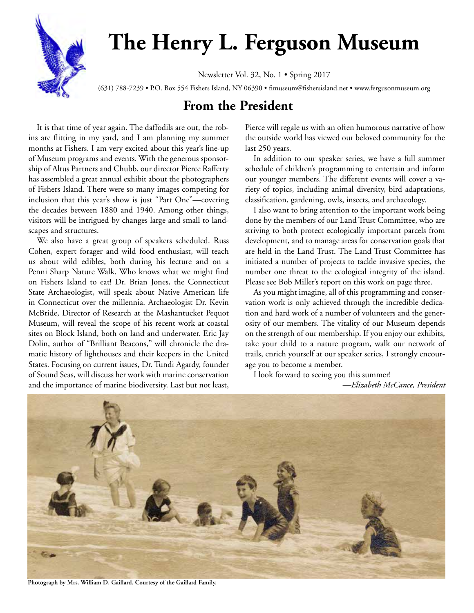

# **The Henry L. Ferguson Museum**

Newsletter Vol. 32, No. 1 • Spring 2017

(631) 788-7239 • P.O. Box 554 Fishers Island, NY 06390 • fimuseum@fishersisland.net • www.fergusonmuseum.org

# **From the President**

It is that time of year again. The daffodils are out, the robins are flitting in my yard, and I am planning my summer months at Fishers. I am very excited about this year's line-up of Museum programs and events. With the generous sponsorship of Altus Partners and Chubb, our director Pierce Rafferty has assembled a great annual exhibit about the photographers of Fishers Island. There were so many images competing for inclusion that this year's show is just "Part One"—covering the decades between 1880 and 1940. Among other things, visitors will be intrigued by changes large and small to landscapes and structures.

We also have a great group of speakers scheduled. Russ Cohen, expert forager and wild food enthusiast, will teach us about wild edibles, both during his lecture and on a Penni Sharp Nature Walk. Who knows what we might find on Fishers Island to eat! Dr. Brian Jones, the Connecticut State Archaeologist, will speak about Native American life in Connecticut over the millennia. Archaeologist Dr. Kevin McBride, Director of Research at the Mashantucket Pequot Museum, will reveal the scope of his recent work at coastal sites on Block Island, both on land and underwater. Eric Jay Dolin, author of "Brilliant Beacons," will chronicle the dramatic history of lighthouses and their keepers in the United States. Focusing on current issues, Dr. Tundi Agardy, founder of Sound Seas, will discuss her work with marine conservation and the importance of marine biodiversity. Last but not least,

Pierce will regale us with an often humorous narrative of how the outside world has viewed our beloved community for the last 250 years.

In addition to our speaker series, we have a full summer schedule of children's programming to entertain and inform our younger members. The different events will cover a variety of topics, including animal diversity, bird adaptations, classification, gardening, owls, insects, and archaeology.

I also want to bring attention to the important work being done by the members of our Land Trust Committee, who are striving to both protect ecologically important parcels from development, and to manage areas for conservation goals that are held in the Land Trust. The Land Trust Committee has initiated a number of projects to tackle invasive species, the number one threat to the ecological integrity of the island. Please see Bob Miller's report on this work on page three.

As you might imagine, all of this programming and conservation work is only achieved through the incredible dedication and hard work of a number of volunteers and the generosity of our members. The vitality of our Museum depends on the strength of our membership. If you enjoy our exhibits, take your child to a nature program, walk our network of trails, enrich yourself at our speaker series, I strongly encourage you to become a member.

I look forward to seeing you this summer! *—Elizabeth McCance, President*



**Photograph by Mrs. William D. Gaillard. Courtesy of the Gaillard Family.**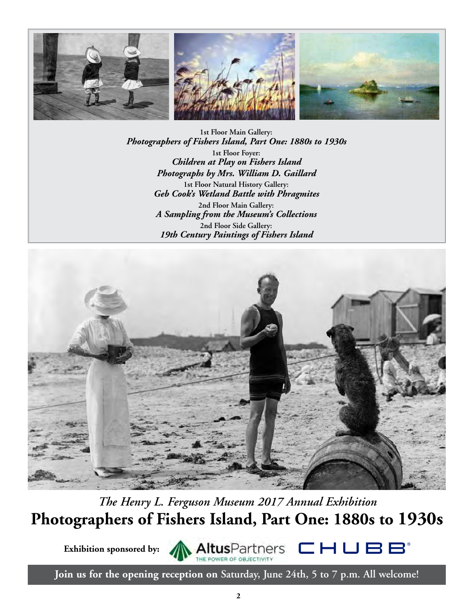

**1st Floor Main Gallery:**  *Photographers of Fishers Island, Part One: 1880s to 1930s* **1st Floor Foyer:**  *Children at Play on Fishers Island Photographs by Mrs. William D. Gaillard* **1st Floor Natural History Gallery:**  *Geb Cook's Wetland Battle with Phragmites* **2nd Floor Main Gallery:**  *A Sampling from the Museum's Collections* **2nd Floor Side Gallery:**  *19th Century Paintings of Fishers Island*



*The Henry L. Ferguson Museum 2017 Annual Exhibition* **Photographers of Fishers Island, Part One: 1880s to 1930s**

**Exhibition sponsored by:**



**Join us for the opening reception on Saturday, June 24th, 5 to 7 p.m. All welcome!**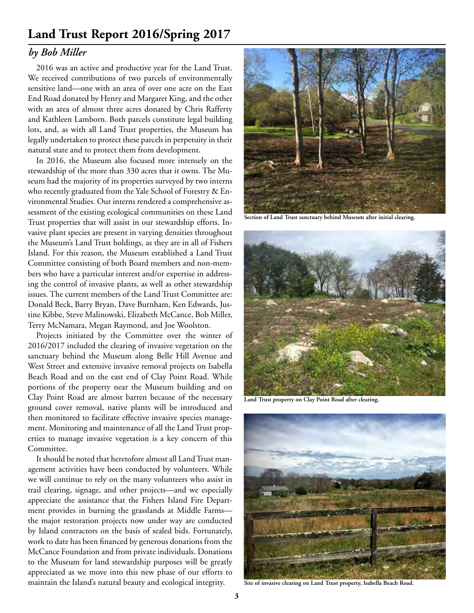# **Land Trust Report 2016/Spring 2017**

### *by Bob Miller*

2016 was an active and productive year for the Land Trust. We received contributions of two parcels of environmentally sensitive land—one with an area of over one acre on the East End Road donated by Henry and Margaret King, and the other with an area of almost three acres donated by Chris Rafferty and Kathleen Lamborn. Both parcels constitute legal building lots, and, as with all Land Trust properties, the Museum has legally undertaken to protect these parcels in perpetuity in their natural state and to protect them from development.

In 2016, the Museum also focused more intensely on the stewardship of the more than 330 acres that it owns. The Museum had the majority of its properties surveyed by two interns who recently graduated from the Yale School of Forestry & Environmental Studies. Our interns rendered a comprehensive assessment of the existing ecological communities on these Land Trust properties that will assist in our stewardship efforts. Invasive plant species are present in varying densities throughout the Museum's Land Trust holdings, as they are in all of Fishers Island. For this reason, the Museum established a Land Trust Committee consisting of both Board members and non-members who have a particular interest and/or expertise in addressing the control of invasive plants, as well as other stewardship issues. The current members of the Land Trust Committee are: Donald Beck, Barry Bryan, Dave Burnham, Ken Edwards, Justine Kibbe, Steve Malinowski, Elizabeth McCance, Bob Miller, Terry McNamara, Megan Raymond, and Joe Woolston.

Projects initiated by the Committee over the winter of 2016/2017 included the clearing of invasive vegetation on the sanctuary behind the Museum along Belle Hill Avenue and West Street and extensive invasive removal projects on Isabella Beach Road and on the east end of Clay Point Road. While portions of the property near the Museum building and on Clay Point Road are almost barren because of the necessary ground cover removal, native plants will be introduced and then monitored to facilitate effective invasive species management. Monitoring and maintenance of all the Land Trust properties to manage invasive vegetation is a key concern of this Committee.

It should be noted that heretofore almost all Land Trust management activities have been conducted by volunteers. While we will continue to rely on the many volunteers who assist in trail clearing, signage, and other projects—and we especially appreciate the assistance that the Fishers Island Fire Department provides in burning the grasslands at Middle Farms the major restoration projects now under way are conducted by Island contractors on the basis of sealed bids. Fortunately, work to date has been financed by generous donations from the McCance Foundation and from private individuals. Donations to the Museum for land stewardship purposes will be greatly appreciated as we move into this new phase of our efforts to maintain the Island's natural beauty and ecological integrity.



**Section of Land Trust sanctuary behind Museum after initial clearing.**



**Land Trust property on Clay Point Road after clearing.**



**Site of invasive clearing on Land Trust property, Isabella Beach Road.**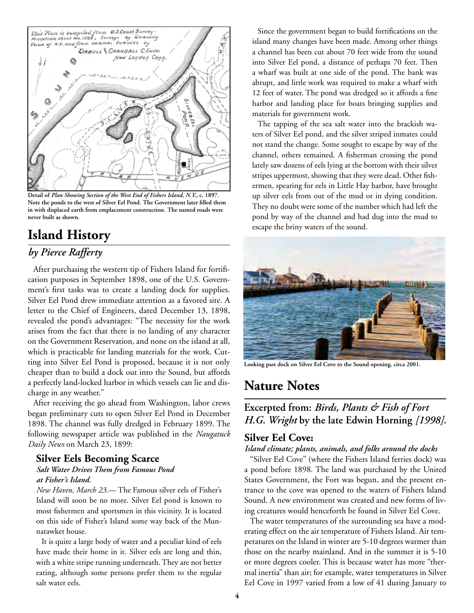

**Detail of** *Plan Showing Section of the West End of Fishers Island, N.Y.,* **c. 1897. Note the ponds to the west of Silver Eel Pond. The Government later filled them in with displaced earth from emplacement construction. The named roads were never built as shown.** 

# **Island History** *by Pierce Rafferty*

After purchasing the western tip of Fishers Island for fortification purposes in September 1898, one of the U.S. Government's first tasks was to create a landing dock for supplies. Silver Eel Pond drew immediate attention as a favored site. A letter to the Chief of Engineers, dated December 13, 1898, revealed the pond's advantages: "The necessity for the work arises from the fact that there is no landing of any character on the Government Reservation, and none on the island at all, which is practicable for landing materials for the work. Cutting into Silver Eel Pond is proposed, because it is not only cheaper than to build a dock out into the Sound, but affords a perfectly land-locked harbor in which vessels can lie and discharge in any weather."

After receiving the go ahead from Washington, labor crews began preliminary cuts to open Silver Eel Pond in December 1898. The channel was fully dredged in February 1899. The following newspaper article was published in the *Naugatuck Daily News* on March 23, 1899:

### **Silver Eels Becoming Scarce**

#### *Salt Water Drives Them from Famous Pond at Fisher's Island.*

*New Haven, March 23.*— The Famous silver eels of Fisher's Island will soon be no more. Silver Eel pond is known to most fishermen and sportsmen in this vicinity. It is located on this side of Fisher's Island some way back of the Munnatawket house.

It is quite a large body of water and a peculiar kind of eels have made their home in it. Silver eels are long and thin, with a white stripe running underneath. They are not better eating, although some persons prefer them to the regular salt water eels.

Since the government began to build fortifications on the island many changes have been made. Among other things a channel has been cut about 70 feet wide from the sound into Silver Eel pond, a distance of perhaps 70 feet. Then a wharf was built at one side of the pond. The bank was abrupt, and little work was required to make a wharf with 12 feet of water. The pond was dredged so it affords a fine harbor and landing place for boats bringing supplies and materials for government work.

The tapping of the sea salt water into the brackish waters of Silver Eel pond, and the silver striped inmates could not stand the change. Some sought to escape by way of the channel, others remained. A fisherman crossing the pond lately saw dozens of eels lying at the bottom with their silver stripes uppermost, showing that they were dead. Other fishermen, spearing for eels in Little Hay harbor, have brought up silver eels from out of the mud or in dying condition. They no doubt were some of the number which had left the pond by way of the channel and had dug into the mud to escape the briny waters of the sound.



**Looking past dock on Silver Eel Cove to the Sound opening, circa 2001.** 

# **Nature Notes**

**Excerpted from:** *Birds, Plants & Fish of Fort H.G. Wright* **by the late Edwin Horning** *[1998].*

### **Silver Eel Cove:**

#### *Island climate; plants, animals, and folks around the docks*

"Silver Eel Cove" (where the Fishers Island ferries dock) was a pond before 1898. The land was purchased by the United States Government, the Fort was begun, and the present entrance to the cove was opened to the waters of Fishers Island Sound. A new environment was created and new forms of living creatures would henceforth be found in Silver Eel Cove.

The water temperatures of the surrounding sea have a moderating effect on the air temperature of Fishers Island. Air temperatures on the Island in winter are 5-10 degrees warmer than those on the nearby mainland. And in the summer it is 5-10 or more degrees cooler. This is because water has more "thermal inertia" than air; for example, water temperatures in Silver Eel Cove in 1997 varied from a low of 41 during January to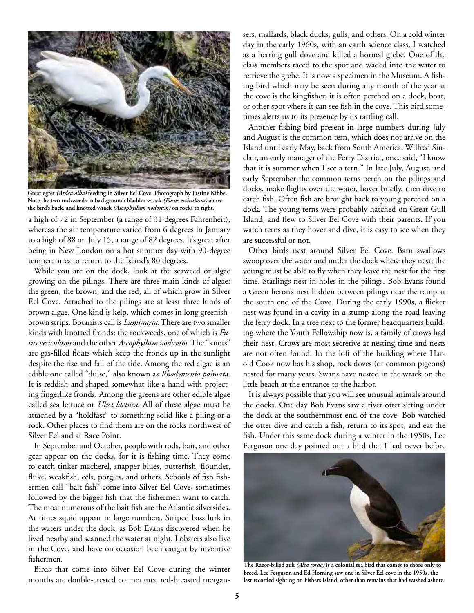

**Great egret** *(Ardea alba)* **feeding in Silver Eel Cove. Photograph by Justine Kibbe. Note the two rockweeds in background: bladder wrack** *(Fusus vesiculosus)* **above the bird's back, and knotted wrack** *(Ascophyllum nodosum)* **on rocks to right.**

a high of 72 in September (a range of 31 degrees Fahrenheit), whereas the air temperature varied from 6 degrees in January to a high of 88 on July 15, a range of 82 degrees. It's great after being in New London on a hot summer day with 90-degree temperatures to return to the Island's 80 degrees.

While you are on the dock, look at the seaweed or algae growing on the pilings. There are three main kinds of algae: the green, the brown, and the red, all of which grow in Silver Eel Cove. Attached to the pilings are at least three kinds of brown algae. One kind is kelp, which comes in long greenishbrown strips. Botanists call is *Laminaria*. There are two smaller kinds with knotted fronds: the rockweeds, one of which is *Fusus vesiculosus* and the other *Ascophyllum nodosum*. The "knots" are gas-filled floats which keep the fronds up in the sunlight despite the rise and fall of the tide. Among the red algae is an edible one called "dulse," also known as *Rhodymenia palmata*. It is reddish and shaped somewhat like a hand with projecting fingerlike fronds. Among the greens are other edible algae called sea lettuce or *Ulva lactuca*. All of these algae must be attached by a "holdfast" to something solid like a piling or a rock. Other places to find them are on the rocks northwest of Silver Eel and at Race Point.

In September and October, people with rods, bait, and other gear appear on the docks, for it is fishing time. They come to catch tinker mackerel, snapper blues, butterfish, flounder, fluke, weakfish, eels, porgies, and others. Schools of fish fishermen call "bait fish" come into Silver Eel Cove, sometimes followed by the bigger fish that the fishermen want to catch. The most numerous of the bait fish are the Atlantic silversides. At times squid appear in large numbers. Striped bass lurk in the waters under the dock, as Bob Evans discovered when he lived nearby and scanned the water at night. Lobsters also live in the Cove, and have on occasion been caught by inventive fishermen.

Birds that come into Silver Eel Cove during the winter months are double-crested cormorants, red-breasted mergansers, mallards, black ducks, gulls, and others. On a cold winter day in the early 1960s, with an earth science class, I watched as a herring gull dove and killed a horned grebe. One of the class members raced to the spot and waded into the water to retrieve the grebe. It is now a specimen in the Museum. A fishing bird which may be seen during any month of the year at the cove is the kingfisher; it is often perched on a dock, boat, or other spot where it can see fish in the cove. This bird sometimes alerts us to its presence by its rattling call.

Another fishing bird present in large numbers during July and August is the common tern, which does not arrive on the Island until early May, back from South America. Wilfred Sinclair, an early manager of the Ferry District, once said, "I know that it is summer when I see a tern." In late July, August, and early September the common terns perch on the pilings and docks, make flights over the water, hover briefly, then dive to catch fish. Often fish are brought back to young perched on a dock. The young terns were probably hatched on Great Gull Island, and flew to Silver Eel Cove with their parents. If you watch terns as they hover and dive, it is easy to see when they are successful or not.

Other birds nest around Silver Eel Cove. Barn swallows swoop over the water and under the dock where they nest; the young must be able to fly when they leave the nest for the first time. Starlings nest in holes in the pilings. Bob Evans found a Green heron's nest hidden between pilings near the ramp at the south end of the Cove. During the early 1990s, a flicker nest was found in a cavity in a stump along the road leaving the ferry dock. In a tree next to the former headquarters building where the Youth Fellowship now is, a family of crows had their nest. Crows are most secretive at nesting time and nests are not often found. In the loft of the building where Harold Cook now has his shop, rock doves (or common pigeons) nested for many years. Swans have nested in the wrack on the little beach at the entrance to the harbor.

It is always possible that you will see unusual animals around the docks. One day Bob Evans saw a river otter sitting under the dock at the southernmost end of the cove. Bob watched the otter dive and catch a fish, return to its spot, and eat the fish. Under this same dock during a winter in the 1950s, Lee Ferguson one day pointed out a bird that I had never before



**The Razor-billed auk** *(Alca torda)* **is a colonial sea bird that comes to shore only to breed. Lee Ferguson and Ed Horning saw one in Silver Eel cove in the 1950s, the last recorded sighting on Fishers Island, other than remains that had washed ashore.**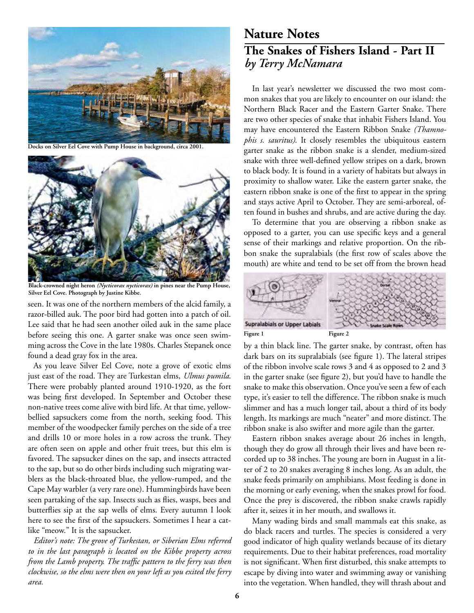

**Docks on Silver Eel Cove with Pump House in background, circa 2001.** 



**Black-crowned night heron** *(Nycticorax nycticorax)* **in pines near the Pump House, Silver Eel Cove. Photograph by Justine Kibbe.**

seen. It was one of the northern members of the alcid family, a razor-billed auk. The poor bird had gotten into a patch of oil. Lee said that he had seen another oiled auk in the same place before seeing this one. A garter snake was once seen swimming across the Cove in the late 1980s. Charles Stepanek once found a dead gray fox in the area.

As you leave Silver Eel Cove, note a grove of exotic elms just east of the road. They are Turkestan elms, *Ulmus pumila*. There were probably planted around 1910-1920, as the fort was being first developed. In September and October these non-native trees come alive with bird life. At that time, yellowbellied sapsuckers come from the north, seeking food. This member of the woodpecker family perches on the side of a tree and drills 10 or more holes in a row across the trunk. They are often seen on apple and other fruit trees, but this elm is favored. The sapsucker dines on the sap, and insects attracted to the sap, but so do other birds including such migrating warblers as the black-throated blue, the yellow-rumped, and the Cape May warbler (a very rare one). Hummingbirds have been seen partaking of the sap. Insects such as flies, wasps, bees and butterflies sip at the sap wells of elms. Every autumn I look here to see the first of the sapsuckers. Sometimes I hear a catlike "meow." It is the sapsucker.

*Editor's note: The grove of Turkestan, or Siberian Elms referred to in the last paragraph is located on the Kibbe property across from the Lamb property. The traffic pattern to the ferry was then clockwise, so the elms were then on your left as you exited the ferry area.* 

### **Nature Notes The Snakes of Fishers Island - Part II**  *by Terry McNamara*

In last year's newsletter we discussed the two most common snakes that you are likely to encounter on our island: the Northern Black Racer and the Eastern Garter Snake. There are two other species of snake that inhabit Fishers Island. You may have encountered the Eastern Ribbon Snake *(Thamnophis s. sauritus)*. It closely resembles the ubiquitous eastern garter snake as the ribbon snake is a slender, medium-sized snake with three well-defined yellow stripes on a dark, brown to black body. It is found in a variety of habitats but always in proximity to shallow water. Like the eastern garter snake, the eastern ribbon snake is one of the first to appear in the spring and stays active April to October. They are semi-arboreal, often found in bushes and shrubs, and are active during the day.

To determine that you are observing a ribbon snake as opposed to a garter, you can use specific keys and a general sense of their markings and relative proportion. On the ribbon snake the supralabials (the first row of scales above the mouth) are white and tend to be set off from the brown head



by a thin black line. The garter snake, by contrast, often has dark bars on its supralabials (see figure 1). The lateral stripes of the ribbon involve scale rows 3 and 4 as opposed to 2 and 3 in the garter snake (see figure 2), but you'd have to handle the snake to make this observation. Once you've seen a few of each type, it's easier to tell the difference. The ribbon snake is much slimmer and has a much longer tail, about a third of its body length. Its markings are much "neater" and more distinct. The ribbon snake is also swifter and more agile than the garter.

Eastern ribbon snakes average about 26 inches in length, though they do grow all through their lives and have been recorded up to 38 inches. The young are born in August in a litter of 2 to 20 snakes averaging 8 inches long. As an adult, the snake feeds primarily on amphibians. Most feeding is done in the morning or early evening, when the snakes prowl for food. Once the prey is discovered, the ribbon snake crawls rapidly after it, seizes it in her mouth, and swallows it.

Many wading birds and small mammals eat this snake, as do black racers and turtles. The species is considered a very good indicator of high quality wetlands because of its dietary requirements. Due to their habitat preferences, road mortality is not significant. When first disturbed, this snake attempts to escape by diving into water and swimming away or vanishing into the vegetation. When handled, they will thrash about and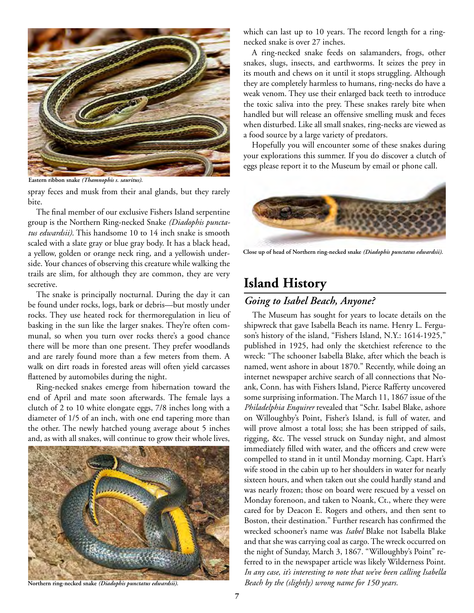

**Eastern ribbon snake** *(Thamnophis s. sauritus).*

spray feces and musk from their anal glands, but they rarely bite.

The final member of our exclusive Fishers Island serpentine group is the Northern Ring-necked Snake *(Diadophis punctatus edwardsii)*. This handsome 10 to 14 inch snake is smooth scaled with a slate gray or blue gray body. It has a black head, a yellow, golden or orange neck ring, and a yellowish underside. Your chances of observing this creature while walking the trails are slim, for although they are common, they are very secretive.

The snake is principally nocturnal. During the day it can be found under rocks, logs, bark or debris—but mostly under rocks. They use heated rock for thermoregulation in lieu of basking in the sun like the larger snakes. They're often communal, so when you turn over rocks there's a good chance there will be more than one present. They prefer woodlands and are rarely found more than a few meters from them. A walk on dirt roads in forested areas will often yield carcasses flattened by automobiles during the night.

Ring-necked snakes emerge from hibernation toward the end of April and mate soon afterwards. The female lays a clutch of 2 to 10 white elongate eggs, 7/8 inches long with a diameter of 1/5 of an inch, with one end tapering more than the other. The newly hatched young average about 5 inches and, as with all snakes, will continue to grow their whole lives,



**Northern ring-necked snake** *(Diadophis punctatus edwardsii).*

which can last up to 10 years. The record length for a ringnecked snake is over 27 inches.

A ring-necked snake feeds on salamanders, frogs, other snakes, slugs, insects, and earthworms. It seizes the prey in its mouth and chews on it until it stops struggling. Although they are completely harmless to humans, ring-necks do have a weak venom. They use their enlarged back teeth to introduce the toxic saliva into the prey. These snakes rarely bite when handled but will release an offensive smelling musk and feces when disturbed. Like all small snakes, ring-necks are viewed as a food source by a large variety of predators.

Hopefully you will encounter some of these snakes during your explorations this summer. If you do discover a clutch of eggs please report it to the Museum by email or phone call.



**Close up of head of Northern ring-necked snake** *(Diadophis punctatus edwardsii).*

# **Island History**

### *Going to Isabel Beach, Anyone?*

The Museum has sought for years to locate details on the shipwreck that gave Isabella Beach its name. Henry L. Ferguson's history of the island, "Fishers Island, N.Y.: 1614-1925," published in 1925, had only the sketchiest reference to the wreck: "The schooner Isabella Blake, after which the beach is named, went ashore in about 1870." Recently, while doing an internet newspaper archive search of all connections that Noank, Conn. has with Fishers Island, Pierce Rafferty uncovered some surprising information. The March 11, 1867 issue of the *Philadelphia Enquirer* revealed that "Schr. Isabel Blake, ashore on Willoughby's Point, Fisher's Island, is full of water, and will prove almost a total loss; she has been stripped of sails, rigging, &c. The vessel struck on Sunday night, and almost immediately filled with water, and the officers and crew were compelled to stand in it until Monday morning. Capt. Hart's wife stood in the cabin up to her shoulders in water for nearly sixteen hours, and when taken out she could hardly stand and was nearly frozen; those on board were rescued by a vessel on Monday forenoon, and taken to Noank, Ct., where they were cared for by Deacon E. Rogers and others, and then sent to Boston, their destination." Further research has confirmed the wrecked schooner's name was *Isabel* Blake not Isabella Blake and that she was carrying coal as cargo. The wreck occurred on the night of Sunday, March 3, 1867. "Willoughby's Point" referred to in the newspaper article was likely Wilderness Point. *In any case, it's interesting to note that we've been calling Isabella Beach by the (slightly) wrong name for 150 years.*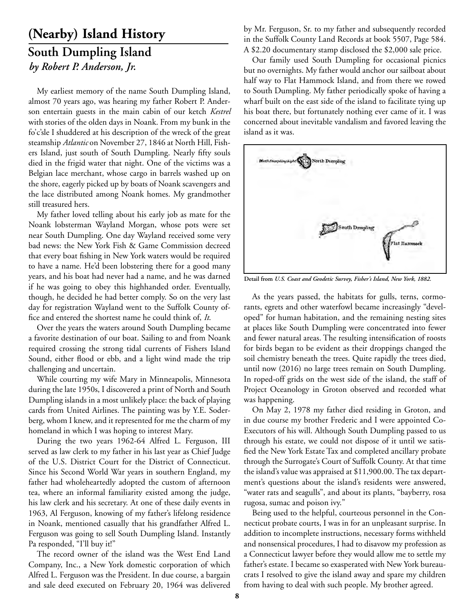# **(Nearby) Island History** *by Robert P. Anderson, Jr.* **South Dumpling Island**

My earliest memory of the name South Dumpling Island, almost 70 years ago, was hearing my father Robert P. Anderson entertain guests in the main cabin of our ketch *Kestrel* with stories of the olden days in Noank. From my bunk in the fo'c'sle I shuddered at his description of the wreck of the great steamship *Atlantic* on November 27, 1846 at North Hill, Fishers Island, just south of South Dumpling. Nearly fifty souls died in the frigid water that night. One of the victims was a Belgian lace merchant, whose cargo in barrels washed up on the shore, eagerly picked up by boats of Noank scavengers and the lace distributed among Noank homes. My grandmother still treasured hers.

My father loved telling about his early job as mate for the Noank lobsterman Wayland Morgan, whose pots were set near South Dumpling. One day Wayland received some very bad news: the New York Fish & Game Commission decreed that every boat fishing in New York waters would be required to have a name. He'd been lobstering there for a good many years, and his boat had never had a name, and he was darned if he was going to obey this highhanded order. Eventually, though, he decided he had better comply. So on the very last day for registration Wayland went to the Suffolk County office and entered the shortest name he could think of, *It*.

Over the years the waters around South Dumpling became a favorite destination of our boat. Sailing to and from Noank required crossing the strong tidal currents of Fishers Island Sound, either flood or ebb, and a light wind made the trip challenging and uncertain.

While courting my wife Mary in Minneapolis, Minnesota during the late 1950s, I discovered a print of North and South Dumpling islands in a most unlikely place: the back of playing cards from United Airlines. The painting was by Y.E. Soderberg, whom I knew, and it represented for me the charm of my homeland in which I was hoping to interest Mary.

During the two years 1962-64 Alfred L. Ferguson, III served as law clerk to my father in his last year as Chief Judge of the U.S. District Court for the District of Connecticut. Since his Second World War years in southern England, my father had wholeheartedly adopted the custom of afternoon tea, where an informal familiarity existed among the judge, his law clerk and his secretary. At one of these daily events in 1963, Al Ferguson, knowing of my father's lifelong residence in Noank, mentioned casually that his grandfather Alfred L. Ferguson was going to sell South Dumpling Island. Instantly Pa responded, "I'll buy it!"

The record owner of the island was the West End Land Company, Inc., a New York domestic corporation of which Alfred L. Ferguson was the President. In due course, a bargain and sale deed executed on February 20, 1964 was delivered

by Mr. Ferguson, Sr. to my father and subsequently recorded in the Suffolk County Land Records at book 5507, Page 584. A \$2.20 documentary stamp disclosed the \$2,000 sale price.

Our family used South Dumpling for occasional picnics but no overnights. My father would anchor our sailboat about half way to Flat Hammock Island, and from there we rowed to South Dumpling. My father periodically spoke of having a wharf built on the east side of the island to facilitate tying up his boat there, but fortunately nothing ever came of it. I was concerned about inevitable vandalism and favored leaving the island as it was.



**Detail from** *U.S. Coast and Geodetic Survey, Fisher's Island, New York, 1882.*

As the years passed, the habitats for gulls, terns, cormorants, egrets and other waterfowl became increasingly "developed" for human habitation, and the remaining nesting sites at places like South Dumpling were concentrated into fewer and fewer natural areas. The resulting intensification of roosts for birds began to be evident as their droppings changed the soil chemistry beneath the trees. Quite rapidly the trees died, until now (2016) no large trees remain on South Dumpling. In roped-off grids on the west side of the island, the staff of Project Oceanology in Groton observed and recorded what was happening.

On May 2, 1978 my father died residing in Groton, and in due course my brother Frederic and I were appointed Co-Executors of his will. Although South Dumpling passed to us through his estate, we could not dispose of it until we satisfied the New York Estate Tax and completed ancillary probate through the Surrogate's Court of Suffolk County. At that time the island's value was appraised at \$11,900.00. The tax department's questions about the island's residents were answered, "water rats and seagulls", and about its plants, "bayberry, rosa rugosa, sumac and poison ivy."

Being used to the helpful, courteous personnel in the Connecticut probate courts, I was in for an unpleasant surprise. In addition to incomplete instructions, necessary forms withheld and nonsensical procedures, I had to disavow my profession as a Connecticut lawyer before they would allow me to settle my father's estate. I became so exasperated with New York bureaucrats I resolved to give the island away and spare my children from having to deal with such people. My brother agreed.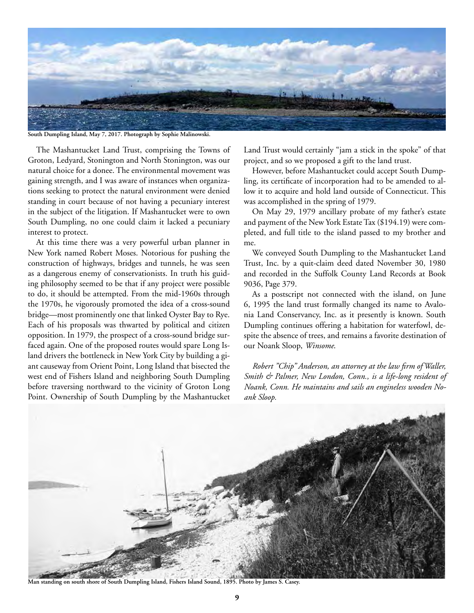

**South Dumpling Island, May 7, 2017. Photograph by Sophie Malinowski.** 

The Mashantucket Land Trust, comprising the Towns of Groton, Ledyard, Stonington and North Stonington, was our natural choice for a donee. The environmental movement was gaining strength, and I was aware of instances when organizations seeking to protect the natural environment were denied standing in court because of not having a pecuniary interest in the subject of the litigation. If Mashantucket were to own South Dumpling, no one could claim it lacked a pecuniary interest to protect.

At this time there was a very powerful urban planner in New York named Robert Moses. Notorious for pushing the construction of highways, bridges and tunnels, he was seen as a dangerous enemy of conservationists. In truth his guiding philosophy seemed to be that if any project were possible to do, it should be attempted. From the mid-1960s through the 1970s, he vigorously promoted the idea of a cross-sound bridge—most prominently one that linked Oyster Bay to Rye. Each of his proposals was thwarted by political and citizen opposition. In 1979, the prospect of a cross-sound bridge surfaced again. One of the proposed routes would spare Long Island drivers the bottleneck in New York City by building a giant causeway from Orient Point, Long Island that bisected the west end of Fishers Island and neighboring South Dumpling before traversing northward to the vicinity of Groton Long Point. Ownership of South Dumpling by the Mashantucket

Land Trust would certainly "jam a stick in the spoke" of that project, and so we proposed a gift to the land trust.

However, before Mashantucket could accept South Dumpling, its certificate of incorporation had to be amended to allow it to acquire and hold land outside of Connecticut. This was accomplished in the spring of 1979.

On May 29, 1979 ancillary probate of my father's estate and payment of the New York Estate Tax (\$194.19) were completed, and full title to the island passed to my brother and me.

We conveyed South Dumpling to the Mashantucket Land Trust, Inc. by a quit-claim deed dated November 30, 1980 and recorded in the Suffolk County Land Records at Book 9036, Page 379.

As a postscript not connected with the island, on June 6, 1995 the land trust formally changed its name to Avalonia Land Conservancy, Inc. as it presently is known. South Dumpling continues offering a habitation for waterfowl, despite the absence of trees, and remains a favorite destination of our Noank Sloop, *Winsome*.

*Robert "Chip" Anderson, an attorney at the law firm of Waller, Smith & Palmer, New London, Conn., is a life-long resident of Noank, Conn. He maintains and sails an engineless wooden Noank Sloop.*



**Man standing on south shore of South Dumpling Island, Fishers Island Sound, 1895. Photo by James S. Casey.**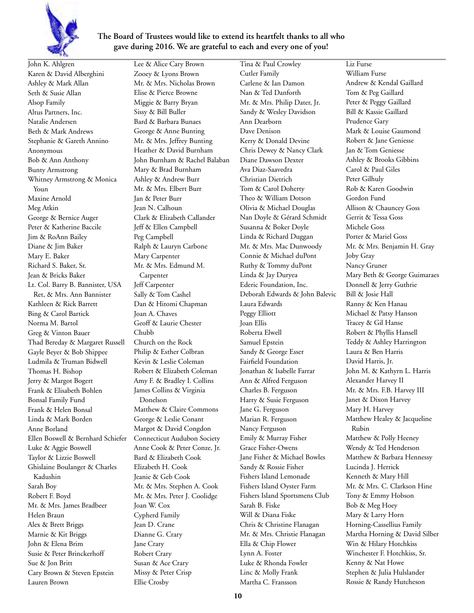

### **The Board of Trustees would like to extend its heartfelt thanks to all who gave during 2016. We are grateful to each and every one of you!**

John K. Ahlgren Karen & David Alberghini Ashley & Mark Allan Seth & Susie Allan Alsop Family Altus Partners, Inc. Natalie Andersen Beth & Mark Andrews Stephanie & Gareth Annino Anonymous Bob & Ann Anthony Bunty Armstrong Whitney Armstrong & Monica Youn Maxine Arnold Meg Atkin George & Bernice Auger Peter & Katherine Baccile Jim & RoAnn Bailey Diane & Jim Baker Mary E. Baker Richard S. Baker, Sr. Jean & Bricks Baker Lt. Col. Barry B. Bannister, USA Ret, & Mrs. Ann Bannister Kathleen & Rick Barrett Bing & Carol Bartick Norma M. Bartol Greg & Vinton Bauer Thad Bereday & Margaret Russell Gayle Beyer & Bob Shippee Ludmila & Truman Bidwell Thomas H. Bishop Jerry & Margot Bogert Frank & Elisabeth Bohlen Bonsal Family Fund Frank & Helen Bonsal Linda & Mark Borden Anne Borland Ellen Boswell & Bernhard Schiefer Luke & Aggie Boswell Taylor & Lizzie Boswell Ghislaine Boulanger & Charles Kadushin Sarah Boy Robert F. Boyd Mr. & Mrs. James Bradbeer Helen Braun Alex & Brett Briggs Marnie & Kit Briggs John & Elena Brim Susie & Peter Brinckerhoff Sue & Jon Britt Cary Brown & Steven Epstein Lauren Brown

Lee & Alice Cary Brown Zooey & Lyons Brown Mr. & Mrs. Nicholas Brown Elise & Pierce Browne Miggie & Barry Bryan Sissy & Bill Buller Bard & Barbara Bunaes George & Anne Bunting Mr. & Mrs. Jeffrey Bunting Heather & David Burnham John Burnham & Rachel Balaban Mary & Brad Burnham Ashley & Andrew Burr Mr. & Mrs. Elbert Burr Jan & Peter Burr Jean N. Calhoun Clark & Elizabeth Callander Jeff & Ellen Campbell Peg Campbell Ralph & Lauryn Carbone Mary Carpenter Mr. & Mrs. Edmund M. Carpenter Jeff Carpenter Sally & Tom Cashel Dan & Hitomi Chapman Joan A. Chaves Geoff & Laurie Chester Chubb Church on the Rock Philip & Esther Colbran Kevin & Leslie Coleman Robert & Elizabeth Coleman Amy F. & Bradley I. Collins James Collins & Virginia Donelson Matthew & Claire Commons George & Leslie Conant Margot & David Congdon Connecticut Audubon Society Anne Cook & Peter Conze, Jr. Bard & Elizabeth Cook Elizabeth H. Cook Jeanie & Geb Cook Mr. & Mrs. Stephen A. Cook Mr. & Mrs. Peter J. Coolidge Joan W. Cox Cypherd Family Jean D. Crane Dianne G. Crary Jane Crary Robert Crary Susan & Ace Crary Missy & Peter Crisp Ellie Crosby

Tina & Paul Crowley Cutler Family Carlene & Ian Damon Nan & Ted Danforth Mr. & Mrs. Philip Dater, Jr. Sandy & Wesley Davidson Ann Dearborn Dave Denison Kerry & Donald Devine Chris Dewey & Nancy Clark Diane Dawson Dexter Ava Diaz-Saavedra Christian Dietrich Tom & Carol Doherty Theo & William Dotson Olivia & Michael Douglas Nan Doyle & Gérard Schmidt Susanna & Boker Doyle Linda & Richard Duggan Mr. & Mrs. Mac Dunwoody Connie & Michael duPont Ruthy & Tommy duPont Linda & Jay Duryea Ederic Foundation, Inc. Deborah Edwards & John Balevic Laura Edwards Peggy Elliott Joan Ellis Roberta Elwell Samuel Epstein Sandy & George Esser Fairfield Foundation Jonathan & Isabelle Farrar Ann & Alfred Ferguson Charles B. Ferguson Harry & Susie Ferguson Jane G. Ferguson Marian R. Ferguson Nancy Ferguson Emily & Murray Fisher Grace Fisher-Owens Jane Fisher & Michael Bowles Sandy & Rossie Fisher Fishers Island Lemonade Fishers Island Oyster Farm Fishers Island Sportsmens Club Sarah B. Fiske Will & Diana Fiske Chris & Christine Flanagan Mr. & Mrs. Christie Flanagan Ella & Chip Flower Lynn A. Foster Luke & Rhonda Fowler Linc & Molly Frank Martha C. Fransson

Liz Furse William Furse Andrew & Kendal Gaillard Tom & Peg Gaillard Peter & Peggy Gaillard Bill & Kassie Gaillard Prudence Gary Mark & Louise Gaumond Robert & Jane Geniesse Jan & Tom Geniesse Ashley & Brooks Gibbins Carol & Paul Giles Peter Gilhuly Rob & Karen Goodwin Gordon Fund Allison & Chauncey Goss Gerrit & Tessa Goss Michele Goss Porter & Mariel Goss Mr. & Mrs. Benjamin H. Gray Joby Gray Nancy Gruner Mary Beth & George Guimaraes Donnell & Jerry Guthrie Bill & Josie Hall Ranny & Ken Hanau Michael & Patsy Hanson Tracey & Gil Hanse Robert & Phyllis Hansell Teddy & Ashley Harrington Laura & Ben Harris David Harris, Jr. John M. & Kathyrn L. Harris Alexander Harvey II Mr. & Mrs. F.B. Harvey III Janet & Dixon Harvey Mary H. Harvey Matthew Healey & Jacqueline Rubin Matthew & Polly Heeney Wendy & Ted Henderson Matthew & Barbara Hennessy Lucinda J. Herrick Kenneth & Mary Hill Mr. & Mrs. C. Clarkson Hine Tony & Emmy Hobson Bob & Meg Hoey Mary & Larry Horn Horning-Cassellius Family Martha Horning & David Silber Win & Hilary Hotchkiss Winchester F. Hotchkiss, Sr. Kenny & Nat Howe Stephen & Julia Hulslander Rossie & Randy Hutcheson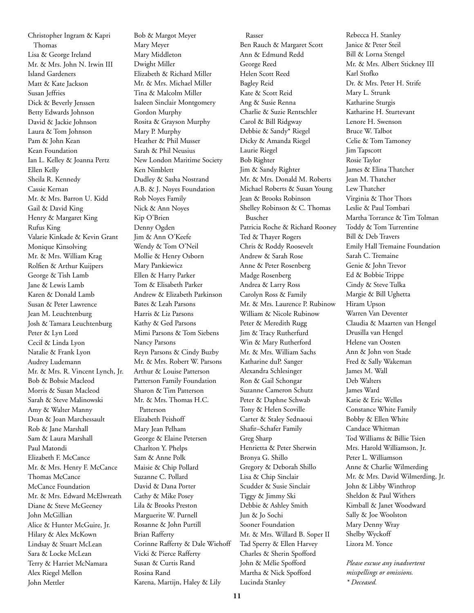Christopher Ingram & Kapri Thomas Lisa & George Ireland Mr. & Mrs. John N. Irwin III Island Gardeners Matt & Kate Jackson Susan Jeffries Dick & Beverly Jenssen Betty Edwards Johnson David & Jackie Johnson Laura & Tom Johnson Pam & John Kean Kean Foundation Ian L. Kelley & Joanna Pertz Ellen Kelly Sheila R. Kennedy Cassie Kernan Mr. & Mrs. Barron U. Kidd Gail & David King Henry & Margaret King Rufus King Valarie Kinkade & Kevin Grant Monique Kinsolving Mr. & Mrs. William Krag Rolfien & Arthur Kuijpers George & Tish Lamb Jane & Lewis Lamb Karen & Donald Lamb Susan & Peter Lawrence Jean M. Leuchtenburg Josh & Tamara Leuchtenburg Peter & Lyn Lord Cecil & Linda Lyon Natalie & Frank Lyon Audrey Ludemann Mr. & Mrs. R. Vincent Lynch, Jr. Bob & Bobsie Macleod Morris & Susan Macleod Sarah & Steve Malinowski Amy & Walter Manny Dean & Joan Marchessault Rob & Jane Marshall Sam & Laura Marshall Paul Matondi Elizabeth F. McCance Mr. & Mrs. Henry F. McCance Thomas McCance McCance Foundation Mr. & Mrs. Edward McElwreath Diane & Steve McGeeney John McGillian Alice & Hunter McGuire, Jr. Hilary & Alex McKown Lindsay & Stuart McLean Sara & Locke McLean Terry & Harriet McNamara Alex Riegel Mellon John Mettler

Bob & Margot Meyer Mary Meyer Mary Middleton Dwight Miller Elizabeth & Richard Miller Mr. & Mrs. Michael Miller Tina & Malcolm Miller Isaleen Sinclair Montgomery Gordon Murphy Rosita & Grayson Murphy Mary P. Murphy Heather & Phil Musser Sarah & Phil Neusius New London Maritime Society Ken Nimblett Dudley & Sasha Nostrand A.B. & J. Noyes Foundation Rob Noyes Family Nick & Ann Noyes Kip O'Brien Denny Ogden Jim & Ann O'Keefe Wendy & Tom O'Neil Mollie & Henry Osborn Mary Pankiewicz Ellen & Harry Parker Tom & Elisabeth Parker Andrew & Elizabeth Parkinson Bates & Leah Parsons Harris & Liz Parsons Kathy & Ged Parsons Mimi Parsons & Tom Siebens Nancy Parsons Reyn Parsons & Cindy Buzby Mr. & Mrs. Robert W. Parsons Arthur & Louise Patterson Patterson Family Foundation Sharon & Tim Patterson Mr. & Mrs. Thomas H.C. Patterson Elizabeth Peishoff Mary Jean Pelham George & Elaine Petersen Charlton Y. Phelps Sam & Anne Polk Maisie & Chip Pollard Suzanne C. Pollard David & Dana Porter Cathy & Mike Posey Lila & Brooks Preston Marguerite W. Purnell Rosanne & John Purtill Brian Rafferty Corinne Rafferty & Dale Wiehoff Vicki & Pierce Rafferty Susan & Curtis Rand Rosina Rand Karena, Martijn, Haley & Lily

Rasser Ben Rauch & Margaret Scott Ann & Edmund Redd George Reed Helen Scott Reed Bagley Reid Kate & Scott Reid Ang & Susie Renna Charlie & Suzie Rentschler Carol & Bill Ridgway Debbie & Sandy\* Riegel Dicky & Amanda Riegel Laurie Riegel Bob Righter Jim & Sandy Righter Mr. & Mrs. Donald M. Roberts Michael Roberts & Susan Young Jean & Brooks Robinson Shelley Robinson & C. Thomas Buscher Patricia Roche & Richard Rooney Ted & Thayer Rogers Chris & Roddy Roosevelt Andrew & Sarah Rose Anne & Peter Rosenberg Madge Rosenberg Andrea & Larry Ross Carolyn Ross & Family Mr. & Mrs. Laurence P. Rubinow William & Nicole Rubinow Peter & Meredith Rugg Jim & Tracy Rutherfurd Win & Mary Rutherford Mr. & Mrs. William Sachs Katharine duP. Sanger Alexandra Schlesinger Ron & Gail Schongar Suzanne Cameron Schutz Peter & Daphne Schwab Tony & Helen Scoville Carter & Staley Sednaoui Shafir–Schafer Family Greg Sharp Henrietta & Peter Sherwin Bronya G. Shillo Gregory & Deborah Shillo Lisa & Chip Sinclair Scudder & Susie Sinclair Tiggy & Jimmy Ski Debbie & Ashley Smith Jun & Jo Sochi Sooner Foundation Mr. & Mrs. Willard B. Soper II Tad Sperry & Ellen Harvey Charles & Sherin Spofford John & Mélie Spofford Martha & Nick Spofford Lucinda Stanley

Rebecca H. Stanley Janice & Peter Steil Bill & Lorna Stengel Mr. & Mrs. Albert Stickney III Karl Stofko Dr. & Mrs. Peter H. Strife Mary L. Strunk Katharine Sturgis Katharine H. Sturtevant Lenore H. Swenson Bruce W. Talbot Celie & Tom Tamoney Jim Tapscott Rosie Taylor James & Elina Thatcher Jean M. Thatcher Lew Thatcher Virginia & Thor Thors Leslie & Paul Tombari Martha Torrance & Tim Tolman Toddy & Tom Turrentine Bill & Deb Travers Emily Hall Tremaine Foundation Sarah C. Tremaine Genie & John Trevor Ed & Bobbie Trippe Cindy & Steve Tulka Margie & Bill Ughetta Hiram Upson Warren Van Deventer Claudia & Maarten van Hengel Drusilla van Hengel Helene van Oosten Ann & John von Stade Fred & Sally Wakeman James M. Wall Deb Walters James Ward Katie & Eric Welles Constance White Family Bobby & Ellen White Candace Whitman Tod Williams & Billie Tsien Mrs. Harold Williamson, Jr. Peter L. Williamson Anne & Charlie Wilmerding Mr. & Mrs. David Wilmerding, Jr. John & Libby Winthrop Sheldon & Paul Withers Kimball & Janet Woodward Sally & Joe Woolston Mary Denny Wray Shelby Wyckoff Lizora M. Yonce

*Please excuse any inadvertent misspellings or omissions. \* Deceased.*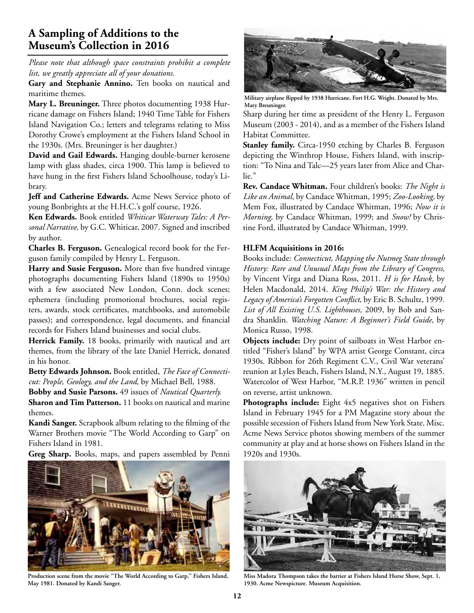### **A Sampling of Additions to the Museum's Collection in 2016**

*Please note that although space constraints prohibit a complete list, we greatly appreciate all of your donations.* 

Gary and Stephanie Annino. Ten books on nautical and maritime themes.

**Mary L. Breuninger.** Three photos documenting 1938 Hurricane damage on Fishers Island; 1940 Time Table for Fishers Island Navigation Co.; letters and telegrams relating to Miss Dorothy Crowe's employment at the Fishers Island School in the 1930s. (Mrs. Breuninger is her daughter.)

**David and Gail Edwards.** Hanging double-burner kerosene lamp with glass shades, circa 1900. This lamp is believed to have hung in the first Fishers Island Schoolhouse, today's Library.

**Jeff and Catherine Edwards.** Acme News Service photo of young Bonbrights at the H.H.C.'s golf course, 1926.

**Ken Edwards.** Book entitled *Whiticar Waterway Tales: A Personal Narrative,* by G.C. Whiticar, 2007. Signed and inscribed by author.

**Charles B. Ferguson.** Genealogical record book for the Ferguson family compiled by Henry L. Ferguson.

**Harry and Susie Ferguson.** More than five hundred vintage photographs documenting Fishers Island (1890s to 1950s) with a few associated New London, Conn. dock scenes; ephemera (including promotional brochures, social registers, awards, stock certificates, matchbooks, and automobile passes); and correspondence, legal documents, and financial records for Fishers Island businesses and social clubs.

**Herrick Family.** 18 books, primarily with nautical and art themes, from the library of the late Daniel Herrick, donated in his honor.

**Betty Edwards Johnson.** Book entitled, *The Face of Connecticut: People, Geology, and the Land,* by Michael Bell, 1988.

**Bobby and Susie Parsons.** 49 issues of *Nautical Quarterly.* 

**Sharon and Tim Patterson.** 11 books on nautical and marine themes.

**Kandi Sanger.** Scrapbook album relating to the filming of the Warner Brothers movie "The World According to Garp" on Fishers Island in 1981.

**Greg Sharp.** Books, maps, and papers assembled by Penni



**Production scene from the movie "The World According to Garp," Fishers Island, May 1981. Donated by Kandi Sanger.**



**Military airplane flipped by 1938 Hurricane, Fort H.G. Wright. Donated by Mrs. Mary Breuninger.** 

Sharp during her time as president of the Henry L. Ferguson Museum (2003 - 2014), and as a member of the Fishers Island Habitat Committee.

**Stanley family.** Circa-1950 etching by Charles B. Ferguson depicting the Winthrop House, Fishers Island, with inscription: "To Nina and Talc—25 years later from Alice and Charlie."

**Rev. Candace Whitman.** Four children's books: *The Night is Like an Animal,* by Candace Whitman, 1995; *Zoo-Looking,* by Mem Fox, illustrated by Candace Whitman, 1996; *Now it is Morning,* by Candace Whitman, 1999; and *Snow!* by Christine Ford, illustrated by Candace Whitman, 1999.

### **HLFM Acquisitions in 2016:**

Books include: *Connecticut, Mapping the Nutmeg State through History: Rare and Unusual Maps from the Library of Congress,* by Vincent Virga and Diana Ross, 2011. *H is for Hawk,* by Helen Macdonald, 2014. *King Philip's War: the History and Legacy of America's Forgotten Conflict,* by Eric B. Schultz, 1999. *List of All Existing U.S. Lighthouses,* 2009, by Bob and Sandra Shanklin. *Watching Nature: A Beginner's Field Guide,* by Monica Russo, 1998.

**Objects include:** Dry point of sailboats in West Harbor entitled "Fisher's Island" by WPA artist George Constant, circa 1930s. Ribbon for 26th Regiment C.V., Civil War veterans' reunion at Lyles Beach, Fishers Island, N.Y., August 19, 1885. Watercolor of West Harbor, "M.R.P. 1936" written in pencil on reverse, artist unknown.

**Photographs include:** Eight 4x5 negatives shot on Fishers Island in February 1945 for a PM Magazine story about the possible secession of Fishers Island from New York State. Misc. Acme News Service photos showing members of the summer community at play and at horse shows on Fishers Island in the 1920s and 1930s.



**Miss Madora Thompson takes the barrier at Fishers Island Horse Show, Sept. 1, 1930. Acme Newspicture. Museum Acquisition.**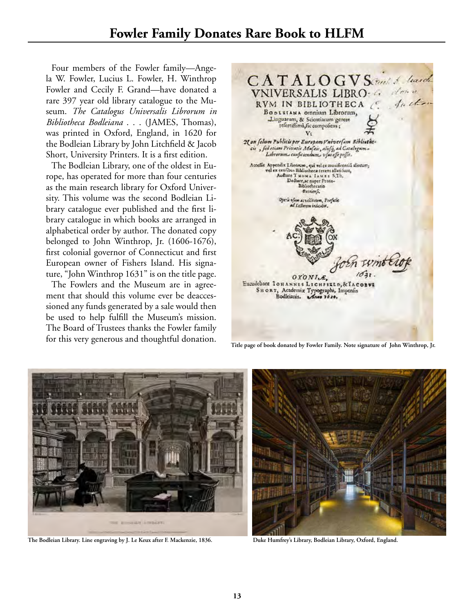Four members of the Fowler family—Angela W. Fowler, Lucius L. Fowler, H. Winthrop Fowler and Cecily F. Grand—have donated a rare 397 year old library catalogue to the Museum. *The Catalogus Universalis Librorum in Bibliotheca Bodleiana* . . . (JAMES, Thomas), was printed in Oxford, England, in 1620 for the Bodleian Library by John Litchfield & Jacob Short, University Printers. It is a first edition.

The Bodleian Library, one of the oldest in Europe, has operated for more than four centuries as the main research library for Oxford University. This volume was the second Bodleian Library catalogue ever published and the first library catalogue in which books are arranged in alphabetical order by author. The donated copy belonged to John Winthrop, Jr. (1606-1676), first colonial governor of Connecticut and first European owner of Fishers Island. His signature, "John Winthrop 1631" is on the title page.

The Fowlers and the Museum are in agreement that should this volume ever be deaccessioned any funds generated by a sale would then be used to help fulfill the Museum's mission. The Board of Trustees thanks the Fowler family for this very generous and thoughtful donation.

|                                                     |                                                                                                                                                                                                          | CATALOGV Served & learch    |  |
|-----------------------------------------------------|----------------------------------------------------------------------------------------------------------------------------------------------------------------------------------------------------------|-----------------------------|--|
|                                                     |                                                                                                                                                                                                          | VNIVERSALIS LIBRO: 6 denie  |  |
|                                                     | BODLEIANA Omnium Librorum,<br>Linguarum, & Scientiarum genere<br>relertiflimà, fic compolitus;                                                                                                           | RVM IN BIBLIOTHECA & Justin |  |
| Non folum Publicis per Europam Vniverfam Bibliothe- | cis , fed etiam Privatis Mufais, alisfi, ad Casalogum.<br>Librerum_conficiendum_v[ui effe poffit.                                                                                                        |                             |  |
|                                                     | Accefist Appendix Librarum, qui vel ex munificentia aliotum;<br>vel ex censibus Bibliotheca recens alleti funt,<br>Auftore THOMA IAMES S.Th.<br>Dectore, ac nuper Proto-<br>Babliothecatio<br>Oxenien S. |                             |  |
|                                                     | Opera often accellisatem, Prefatte<br>ad Lefterers inducable.                                                                                                                                            |                             |  |
|                                                     |                                                                                                                                                                                                          |                             |  |
|                                                     | OXONLE.                                                                                                                                                                                                  | remotel                     |  |
| Excudebant IOHANNES LICHFISLD, & IACOBVE            | SHORT, Academix Typographi, Impeniis<br>Bodkianis. a Anne 3620.                                                                                                                                          |                             |  |
|                                                     |                                                                                                                                                                                                          |                             |  |
|                                                     |                                                                                                                                                                                                          |                             |  |

**Title page of book donated by Fowler Family. Note signature of John Winthrop, Jr.** 



**The Bodleian Library. Line engraving by J. Le Keux after F. Mackenzie, 1836. Duke Humfrey's Library, Bodleian Library, Oxford, England.** 

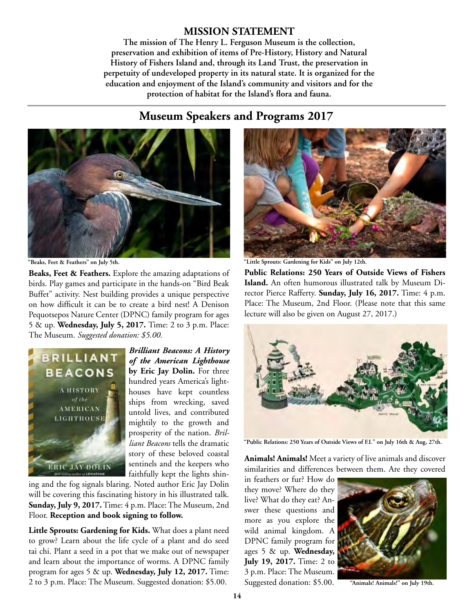### **MISSION STATEMENT**

**The mission of The Henry L. Ferguson Museum is the collection, preservation and exhibition of items of Pre-History, History and Natural History of Fishers Island and, through its Land Trust, the preservation in perpetuity of undeveloped property in its natural state. It is organized for the education and enjoyment of the Island's community and visitors and for the protection of habitat for the Island's flora and fauna.**

# **Museum Speakers and Programs 2017**



**Beaks, Feet & Feathers.** Explore the amazing adaptations of birds. Play games and participate in the hands-on "Bird Beak Buffet" activity. Nest building provides a unique perspective on how difficult it can be to create a bird nest! A Denison Pequotsepos Nature Center (DPNC) family program for ages 5 & up. **Wednesday, July 5, 2017.** Time: 2 to 3 p.m. Place: The Museum. *Suggested donation: \$5.00.*



*Brilliant Beacons: A History of the American Lighthouse* **by Eric Jay Dolin.** For three hundred years America's lighthouses have kept countless ships from wrecking, saved untold lives, and contributed mightily to the growth and prosperity of the nation. *Brilliant Beacons* tells the dramatic story of these beloved coastal sentinels and the keepers who faithfully kept the lights shin-

ing and the fog signals blaring. Noted author Eric Jay Dolin will be covering this fascinating history in his illustrated talk. **Sunday, July 9, 2017.** Time: 4 p.m. Place: The Museum, 2nd Floor. **Reception and book signing to follow.**

**Little Sprouts: Gardening for Kids.** What does a plant need to grow? Learn about the life cycle of a plant and do seed tai chi. Plant a seed in a pot that we make out of newspaper and learn about the importance of worms. A DPNC family program for ages 5 & up. **Wednesday, July 12, 2017.** Time: 2 to 3 p.m. Place: The Museum. Suggested donation: \$5.00.



**"Beaks, Feet & Feathers" on July 5th. "Little Sprouts: Gardening for Kids" on July 12th.**

**Public Relations: 250 Years of Outside Views of Fishers Island.** An often humorous illustrated talk by Museum Director Pierce Rafferty. **Sunday, July 16, 2017.** Time: 4 p.m. Place: The Museum, 2nd Floor. (Please note that this same lecture will also be given on August 27, 2017.)



**"Public Relations: 250 Years of Outside Views of F.I." on July 16th & Aug, 27th.**

**Animals! Animals!** Meet a variety of live animals and discover similarities and differences between them. Are they covered

in feathers or fur? How do they move? Where do they live? What do they eat? Answer these questions and more as you explore the wild animal kingdom. A DPNC family program for ages 5 & up. **Wednesday, July 19, 2017.** Time: 2 to 3 p.m. Place: The Museum. Suggested donation: \$5.00.



**"Animals! Animals!" on July 19th.**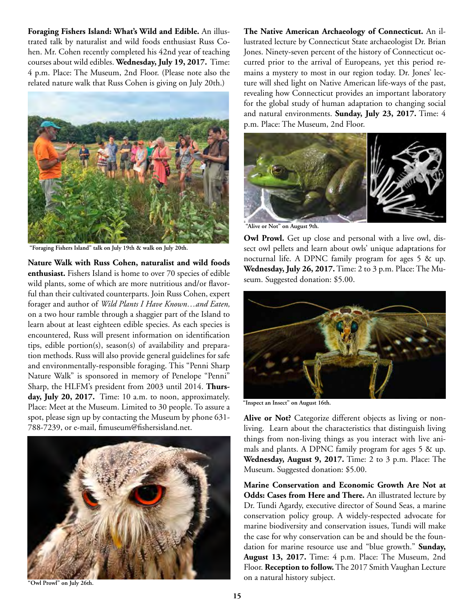**Foraging Fishers Island: What's Wild and Edible.** An illustrated talk by naturalist and wild foods enthusiast Russ Cohen. Mr. Cohen recently completed his 42nd year of teaching courses about wild edibles. **Wednesday, July 19, 2017.** Time: 4 p.m. Place: The Museum, 2nd Floor. (Please note also the related nature walk that Russ Cohen is giving on July 20th.)



 **"Foraging Fishers Island" talk on July 19th & walk on July 20th.** 

**Nature Walk with Russ Cohen, naturalist and wild foods enthusiast.** Fishers Island is home to over 70 species of edible wild plants, some of which are more nutritious and/or flavorful than their cultivated counterparts. Join Russ Cohen, expert forager and author of *Wild Plants I Have Known…and Eaten,*  on a two hour ramble through a shaggier part of the Island to learn about at least eighteen edible species. As each species is encountered, Russ will present information on identification tips, edible portion(s), season(s) of availability and preparation methods. Russ will also provide general guidelines for safe and environmentally-responsible foraging. This "Penni Sharp Nature Walk" is sponsored in memory of Penelope "Penni" Sharp, the HLFM's president from 2003 until 2014. **Thursday, July 20, 2017.** Time: 10 a.m. to noon, approximately. Place: Meet at the Museum. Limited to 30 people. To assure a spot, please sign up by contacting the Museum by phone 631- 788-7239, or e-mail, fimuseum@fishersisland.net.



**The Native American Archaeology of Connecticut.** An illustrated lecture by Connecticut State archaeologist Dr. Brian Jones. Ninety-seven percent of the history of Connecticut occurred prior to the arrival of Europeans, yet this period remains a mystery to most in our region today. Dr. Jones' lecture will shed light on Native American life-ways of the past, revealing how Connecticut provides an important laboratory for the global study of human adaptation to changing social and natural environments. **Sunday, July 23, 2017.** Time: 4 p.m. Place: The Museum, 2nd Floor.



**"Alive or Not" on August 9th.**

**Owl Prowl.** Get up close and personal with a live owl, dissect owl pellets and learn about owls' unique adaptations for nocturnal life. A DPNC family program for ages 5 & up. **Wednesday, July 26, 2017.** Time: 2 to 3 p.m. Place: The Museum. Suggested donation: \$5.00.



**"Inspect an Insect" on August 16th.**

Alive or Not? Categorize different objects as living or nonliving. Learn about the characteristics that distinguish living things from non-living things as you interact with live animals and plants. A DPNC family program for ages 5 & up. **Wednesday, August 9, 2017.** Time: 2 to 3 p.m. Place: The Museum. Suggested donation: \$5.00.

**Marine Conservation and Economic Growth Are Not at Odds: Cases from Here and There.** An illustrated lecture by Dr. Tundi Agardy, executive director of Sound Seas, a marine conservation policy group. A widely-respected advocate for marine biodiversity and conservation issues, Tundi will make the case for why conservation can be and should be the foundation for marine resource use and "blue growth." **Sunday, August 13, 2017.** Time: 4 p.m. Place: The Museum, 2nd Floor. **Reception to follow.** The 2017 Smith Vaughan Lecture